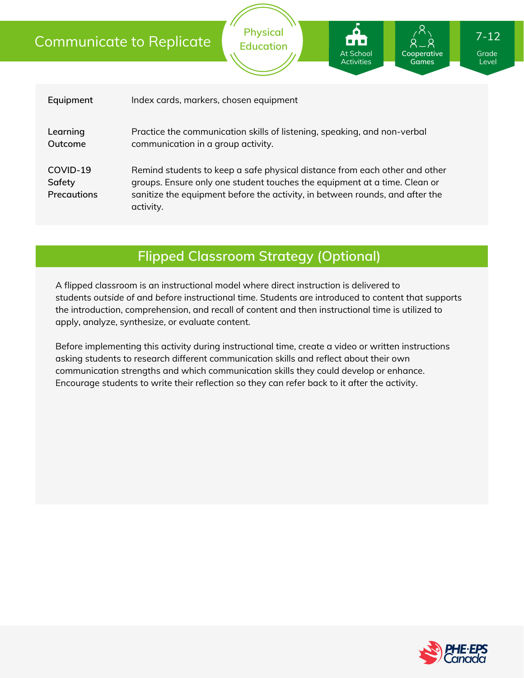### Communicate to Replicate

| Equipment                                | Index cards, markers, chosen equipment                                                                                                                                                                                                               |
|------------------------------------------|------------------------------------------------------------------------------------------------------------------------------------------------------------------------------------------------------------------------------------------------------|
| Learning<br>Outcome                      | Practice the communication skills of listening, speaking, and non-verbal<br>communication in a group activity.                                                                                                                                       |
| COVID-19<br>Safety<br><b>Precautions</b> | Remind students to keep a safe physical distance from each other and other<br>groups. Ensure only one student touches the equipment at a time. Clean or<br>sanitize the equipment before the activity, in between rounds, and after the<br>activity. |

**Physical Education**

### **Flipped Classroom Strategy (Optional)**

A flipped classroom is an instructional model where direct instruction is delivered to students *outside of* and *before* instructional time. Students are introduced to content that supports the introduction, comprehension, and recall of content and then instructional time is utilized to apply, analyze, synthesize, or evaluate content.

Before implementing this activity during instructional time, create a video or written instructions asking students to research different communication skills and reflect about their own communication strengths and which communication skills they could develop or enhance. Encourage students to write their reflection so they can refer back to it after the activity.



Grade Level

**Cooperative Games**

At School Activities 7-12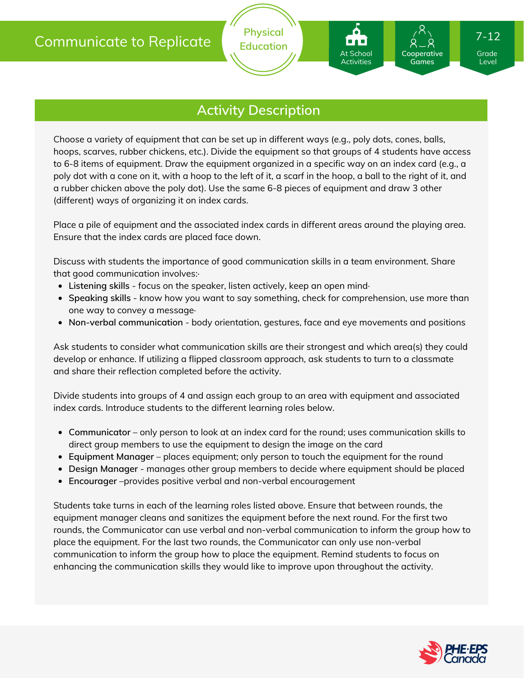**Physical Education**

Choose a variety of equipment that can be set up in different ways (e.g., poly dots, cones, balls, hoops, scarves, rubber chickens, etc.). Divide the equipment so that groups of 4 students have access to 6-8 items of equipment. Draw the equipment organized in a specific way on an index card (e.g., a poly dot with a cone on it, with a hoop to the left of it, a scarf in the hoop, a ball to the right of it, and a rubber chicken above the poly dot). Use the same 6-8 pieces of equipment and draw 3 other (different) ways of organizing it on index cards.

Place a pile of equipment and the associated index cards in different areas around the playing area. Ensure that the index cards are placed face down.

Discuss with students the importance of good communication skills in a team environment. Share that good communication involves:·

- **Listening skills** focus on the speaker, listen actively, keep an open mind·
- **Speaking skills** know how you want to say something, check for comprehension, use more than one way to convey a message·
- **Non-verbal communication** body orientation, gestures, face and eye movements and positions

Ask students to consider what communication skills are their strongest and which area(s) they could develop or enhance. If utilizing a flipped classroom approach, ask students to turn to a classmate and share their reflection completed before the activity.

Divide students into groups of 4 and assign each group to an area with equipment and associated index cards. Introduce students to the different learning roles below.

- **Communicator** only person to look at an index card for the round; uses communication skills to direct group members to use the equipment to design the image on the card
- **Equipment Manager** places equipment; only person to touch the equipment for the round
- **Design Manager** manages other group members to decide where equipment should be placed
- **Encourager** –provides positive verbal and non-verbal encouragement

Students take turns in each of the learning roles listed above. Ensure that between rounds, the equipment manager cleans and sanitizes the equipment before the next round. For the first two rounds, the Communicator can use verbal and non-verbal communication to inform the group how to place the equipment. For the last two rounds, the Communicator can only use non-verbal communication to inform the group how to place the equipment. Remind students to focus on enhancing the communication skills they would like to improve upon throughout the activity.



Grade Level

**Cooperative Games**

At School Activities

7-12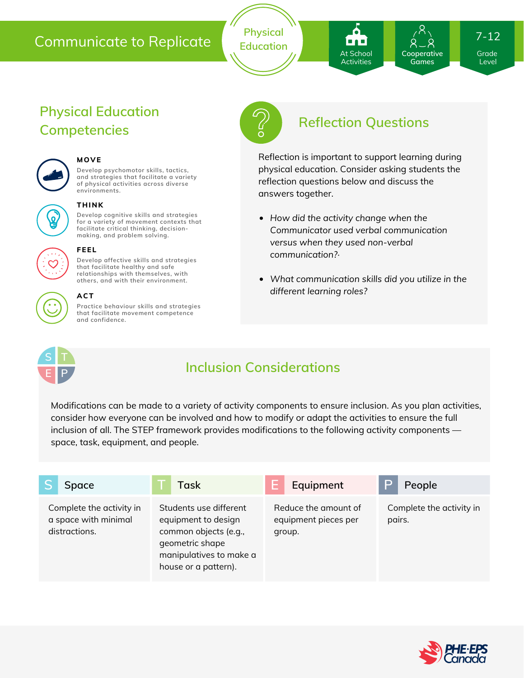#### Communicate to Replicate

**Physical Education**

# **Reflection Questions**

At School **Activities**  Grade Level

**Cooperative Games**

7-12

Reflection is important to support learning during physical education. Consider asking students the reflection questions below and discuss the answers together.

- *How did the activity change when the Communicator used verbal communication versus when they used non-verbal communication?·*
- *What communication skills did you utilize in the different learning roles?*

**S T E P**

## **Inclusion Considerations**

Modifications can be made to a variety of activity components to ensure inclusion. As you plan activities, consider how everyone can be involved and how to modify or adapt the activities to ensure the full inclusion of all. The STEP framework provides modifications to the following activity components space, task, equipment, and people.

| <b>Space</b>                                                      | Task                                                                                                                                         | Equipment                                              | P<br>People                        |
|-------------------------------------------------------------------|----------------------------------------------------------------------------------------------------------------------------------------------|--------------------------------------------------------|------------------------------------|
| Complete the activity in<br>a space with minimal<br>distractions. | Students use different<br>equipment to design<br>common objects (e.g.,<br>geometric shape<br>manipulatives to make a<br>house or a pattern). | Reduce the amount of<br>equipment pieces per<br>group. | Complete the activity in<br>pairs. |



#### **ACT**

**Practice behaviour skills and strategies that facilitate movement competence and confidence.**

**Develop cognitive skills and strategies for a variety of movement contexts that facilitate critical thinking, decision making, and problem solving.**

**Develop psychomotor skills, tactics, and strategies that facilitate a variety of physical activities across diverse**

**Develop affective skills and strategies**







#### **that facilitate healthy and safe relationships with themselves, with others, and with their environment.**

**THINK**

**MOVE**

**environments.**

**FEEL**

**Physical Education**

**Competencies**